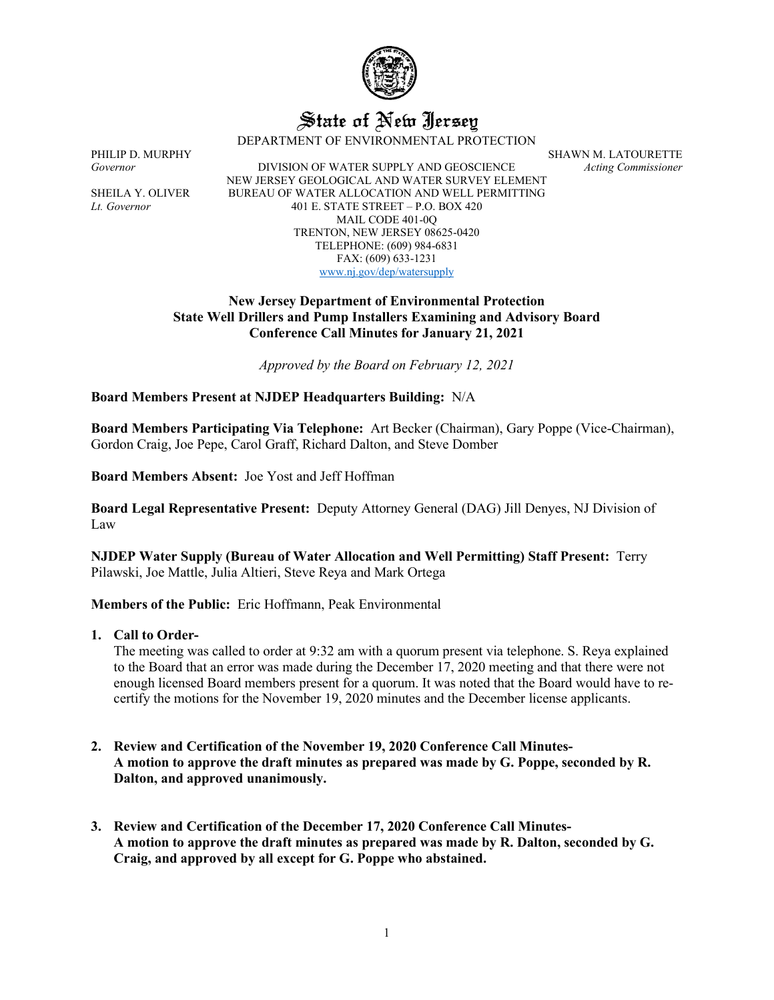

# State of New Jersey

DEPARTMENT OF ENVIRONMENTAL PROTECTION

PHILIP D. MURPHY SHAWN M. LATOURETTE Governor SHAWN M. LATOURETTE Governor *Governor* **DIVISION OF WATER SUPPLY AND GEOSCIENCE** NEW JERSEY GEOLOGICAL AND WATER SURVEY ELEMENT SHEILA Y. OLIVER BUREAU OF WATER ALLOCATION AND WELL PERMITTING *Lt. Governor* 401 E. STATE STREET – P.O. BOX 420 MAIL CODE 401-0Q TRENTON, NEW JERSEY 08625-0420 TELEPHONE: (609) 984-6831 FAX: (609) 633-1231 [www.nj.gov/dep/watersupply](http://www.nj.gov/dep/watersupply)

## **New Jersey Department of Environmental Protection State Well Drillers and Pump Installers Examining and Advisory Board Conference Call Minutes for January 21, 2021**

*Approved by the Board on February 12, 2021*

## **Board Members Present at NJDEP Headquarters Building:** N/A

**Board Members Participating Via Telephone:** Art Becker (Chairman), Gary Poppe (Vice-Chairman), Gordon Craig, Joe Pepe, Carol Graff, Richard Dalton, and Steve Domber

**Board Members Absent:** Joe Yost and Jeff Hoffman

**Board Legal Representative Present:** Deputy Attorney General (DAG) Jill Denyes, NJ Division of Law

**NJDEP Water Supply (Bureau of Water Allocation and Well Permitting) Staff Present:** Terry Pilawski, Joe Mattle, Julia Altieri, Steve Reya and Mark Ortega

**Members of the Public:** Eric Hoffmann, Peak Environmental

#### **1. Call to Order-**

The meeting was called to order at 9:32 am with a quorum present via telephone. S. Reya explained to the Board that an error was made during the December 17, 2020 meeting and that there were not enough licensed Board members present for a quorum. It was noted that the Board would have to recertify the motions for the November 19, 2020 minutes and the December license applicants.

- **2. Review and Certification of the November 19, 2020 Conference Call Minutes-A motion to approve the draft minutes as prepared was made by G. Poppe, seconded by R. Dalton, and approved unanimously.**
- **3. Review and Certification of the December 17, 2020 Conference Call Minutes-A motion to approve the draft minutes as prepared was made by R. Dalton, seconded by G. Craig, and approved by all except for G. Poppe who abstained.**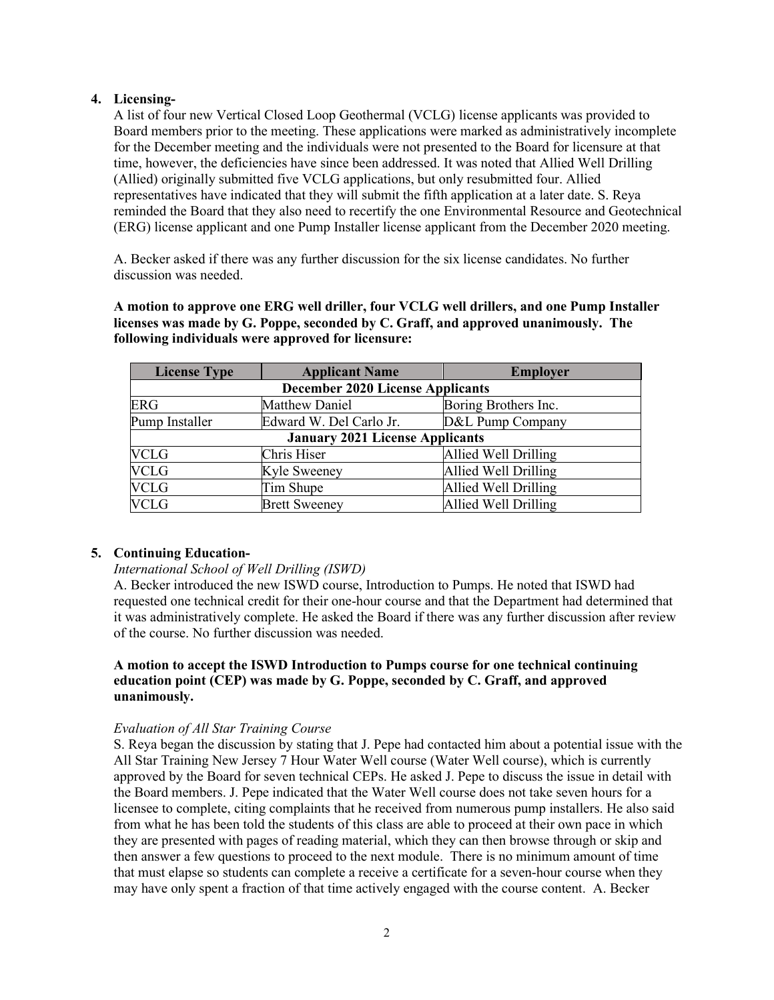# **4. Licensing-**

A list of four new Vertical Closed Loop Geothermal (VCLG) license applicants was provided to Board members prior to the meeting. These applications were marked as administratively incomplete for the December meeting and the individuals were not presented to the Board for licensure at that time, however, the deficiencies have since been addressed. It was noted that Allied Well Drilling (Allied) originally submitted five VCLG applications, but only resubmitted four. Allied representatives have indicated that they will submit the fifth application at a later date. S. Reya reminded the Board that they also need to recertify the one Environmental Resource and Geotechnical (ERG) license applicant and one Pump Installer license applicant from the December 2020 meeting.

A. Becker asked if there was any further discussion for the six license candidates. No further discussion was needed.

**A motion to approve one ERG well driller, four VCLG well drillers, and one Pump Installer licenses was made by G. Poppe, seconded by C. Graff, and approved unanimously. The following individuals were approved for licensure:**

| <b>License Type</b>                     | <b>Applicant Name</b>   | <b>Employer</b>      |
|-----------------------------------------|-------------------------|----------------------|
| <b>December 2020 License Applicants</b> |                         |                      |
| <b>ERG</b>                              | Matthew Daniel          | Boring Brothers Inc. |
| Pump Installer                          | Edward W. Del Carlo Jr. | D&L Pump Company     |
| <b>January 2021 License Applicants</b>  |                         |                      |
| <b>VCLG</b>                             | Chris Hiser             | Allied Well Drilling |
| <b>VCLG</b>                             | Kyle Sweeney            | Allied Well Drilling |
| <b>VCLG</b>                             | Tim Shupe               | Allied Well Drilling |
| <b>VCLG</b>                             | <b>Brett Sweeney</b>    | Allied Well Drilling |

# **5. Continuing Education-**

## *International School of Well Drilling (ISWD)*

A. Becker introduced the new ISWD course, Introduction to Pumps. He noted that ISWD had requested one technical credit for their one-hour course and that the Department had determined that it was administratively complete. He asked the Board if there was any further discussion after review of the course. No further discussion was needed.

# **A motion to accept the ISWD Introduction to Pumps course for one technical continuing education point (CEP) was made by G. Poppe, seconded by C. Graff, and approved unanimously.**

## *Evaluation of All Star Training Course*

S. Reya began the discussion by stating that J. Pepe had contacted him about a potential issue with the All Star Training New Jersey 7 Hour Water Well course (Water Well course), which is currently approved by the Board for seven technical CEPs. He asked J. Pepe to discuss the issue in detail with the Board members. J. Pepe indicated that the Water Well course does not take seven hours for a licensee to complete, citing complaints that he received from numerous pump installers. He also said from what he has been told the students of this class are able to proceed at their own pace in which they are presented with pages of reading material, which they can then browse through or skip and then answer a few questions to proceed to the next module. There is no minimum amount of time that must elapse so students can complete a receive a certificate for a seven-hour course when they may have only spent a fraction of that time actively engaged with the course content. A. Becker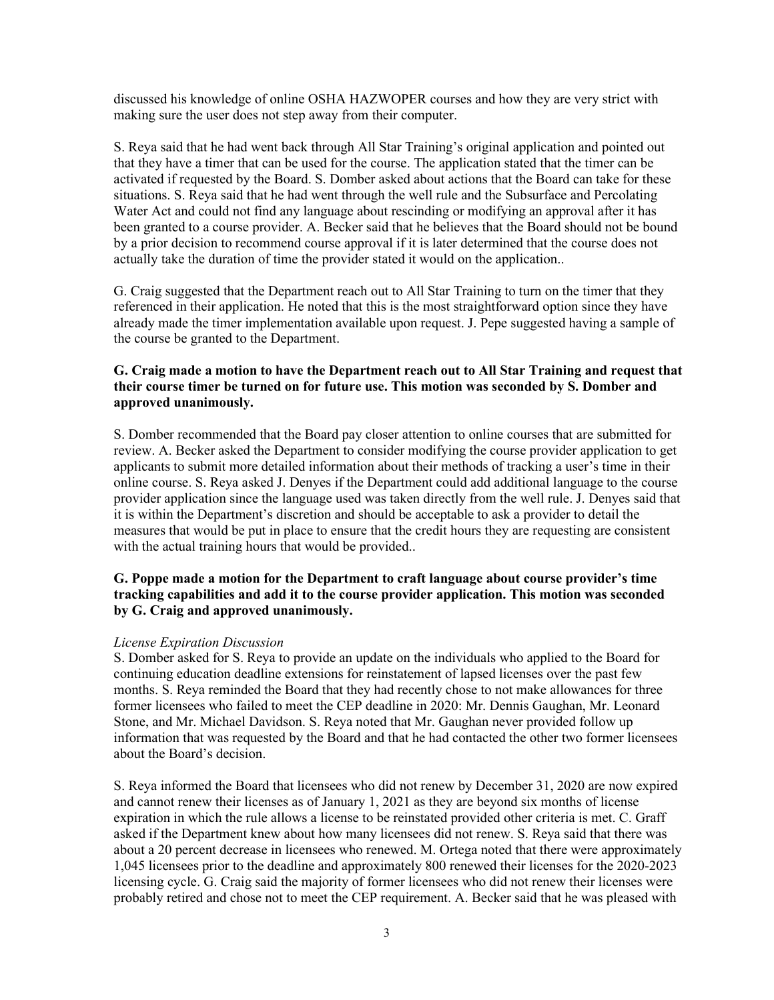discussed his knowledge of online OSHA HAZWOPER courses and how they are very strict with making sure the user does not step away from their computer.

S. Reya said that he had went back through All Star Training's original application and pointed out that they have a timer that can be used for the course. The application stated that the timer can be activated if requested by the Board. S. Domber asked about actions that the Board can take for these situations. S. Reya said that he had went through the well rule and the Subsurface and Percolating Water Act and could not find any language about rescinding or modifying an approval after it has been granted to a course provider. A. Becker said that he believes that the Board should not be bound by a prior decision to recommend course approval if it is later determined that the course does not actually take the duration of time the provider stated it would on the application..

G. Craig suggested that the Department reach out to All Star Training to turn on the timer that they referenced in their application. He noted that this is the most straightforward option since they have already made the timer implementation available upon request. J. Pepe suggested having a sample of the course be granted to the Department.

## **G. Craig made a motion to have the Department reach out to All Star Training and request that their course timer be turned on for future use. This motion was seconded by S. Domber and approved unanimously.**

S. Domber recommended that the Board pay closer attention to online courses that are submitted for review. A. Becker asked the Department to consider modifying the course provider application to get applicants to submit more detailed information about their methods of tracking a user's time in their online course. S. Reya asked J. Denyes if the Department could add additional language to the course provider application since the language used was taken directly from the well rule. J. Denyes said that it is within the Department's discretion and should be acceptable to ask a provider to detail the measures that would be put in place to ensure that the credit hours they are requesting are consistent with the actual training hours that would be provided..

## **G. Poppe made a motion for the Department to craft language about course provider's time tracking capabilities and add it to the course provider application. This motion was seconded by G. Craig and approved unanimously.**

#### *License Expiration Discussion*

S. Domber asked for S. Reya to provide an update on the individuals who applied to the Board for continuing education deadline extensions for reinstatement of lapsed licenses over the past few months. S. Reya reminded the Board that they had recently chose to not make allowances for three former licensees who failed to meet the CEP deadline in 2020: Mr. Dennis Gaughan, Mr. Leonard Stone, and Mr. Michael Davidson. S. Reya noted that Mr. Gaughan never provided follow up information that was requested by the Board and that he had contacted the other two former licensees about the Board's decision.

S. Reya informed the Board that licensees who did not renew by December 31, 2020 are now expired and cannot renew their licenses as of January 1, 2021 as they are beyond six months of license expiration in which the rule allows a license to be reinstated provided other criteria is met. C. Graff asked if the Department knew about how many licensees did not renew. S. Reya said that there was about a 20 percent decrease in licensees who renewed. M. Ortega noted that there were approximately 1,045 licensees prior to the deadline and approximately 800 renewed their licenses for the 2020-2023 licensing cycle. G. Craig said the majority of former licensees who did not renew their licenses were probably retired and chose not to meet the CEP requirement. A. Becker said that he was pleased with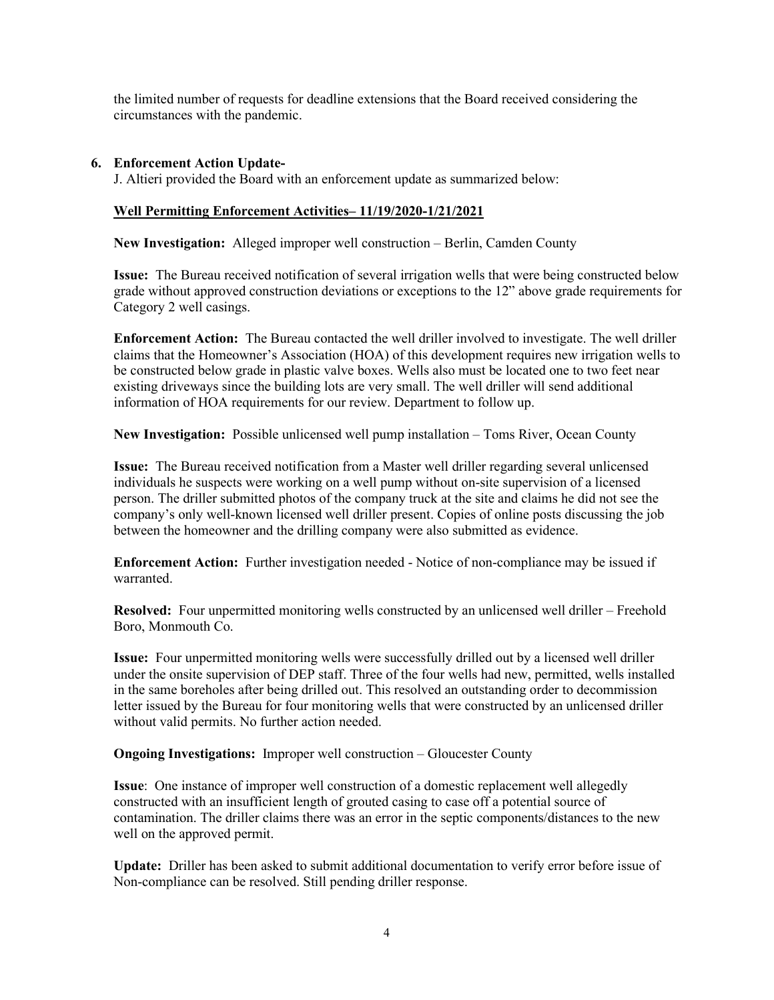the limited number of requests for deadline extensions that the Board received considering the circumstances with the pandemic.

## **6. Enforcement Action Update-**

J. Altieri provided the Board with an enforcement update as summarized below:

## **Well Permitting Enforcement Activities– 11/19/2020-1/21/2021**

**New Investigation:** Alleged improper well construction – Berlin, Camden County

**Issue:** The Bureau received notification of several irrigation wells that were being constructed below grade without approved construction deviations or exceptions to the 12" above grade requirements for Category 2 well casings.

**Enforcement Action:** The Bureau contacted the well driller involved to investigate. The well driller claims that the Homeowner's Association (HOA) of this development requires new irrigation wells to be constructed below grade in plastic valve boxes. Wells also must be located one to two feet near existing driveways since the building lots are very small. The well driller will send additional information of HOA requirements for our review. Department to follow up.

**New Investigation:** Possible unlicensed well pump installation – Toms River, Ocean County

**Issue:** The Bureau received notification from a Master well driller regarding several unlicensed individuals he suspects were working on a well pump without on-site supervision of a licensed person. The driller submitted photos of the company truck at the site and claims he did not see the company's only well-known licensed well driller present. Copies of online posts discussing the job between the homeowner and the drilling company were also submitted as evidence.

**Enforcement Action:** Further investigation needed - Notice of non-compliance may be issued if warranted.

**Resolved:** Four unpermitted monitoring wells constructed by an unlicensed well driller – Freehold Boro, Monmouth Co.

**Issue:** Four unpermitted monitoring wells were successfully drilled out by a licensed well driller under the onsite supervision of DEP staff. Three of the four wells had new, permitted, wells installed in the same boreholes after being drilled out. This resolved an outstanding order to decommission letter issued by the Bureau for four monitoring wells that were constructed by an unlicensed driller without valid permits. No further action needed.

**Ongoing Investigations:** Improper well construction – Gloucester County

**Issue**: One instance of improper well construction of a domestic replacement well allegedly constructed with an insufficient length of grouted casing to case off a potential source of contamination. The driller claims there was an error in the septic components/distances to the new well on the approved permit.

**Update:** Driller has been asked to submit additional documentation to verify error before issue of Non-compliance can be resolved. Still pending driller response.